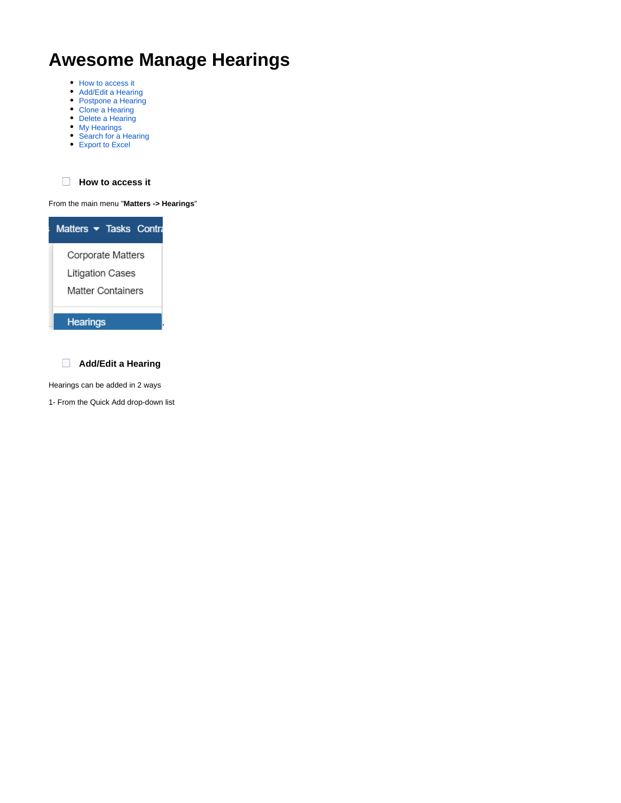# **Awesome Manage Hearings**

- [How to access it](https://documentation.app4legal.com/display/A4L/Manage+Hearings#ManageHearings-Howtoaccessit)
- [Add/Edit a Hearing](https://documentation.app4legal.com/display/A4L/Manage+Hearings#ManageHearings-Add/EditaHearing)
- [Postpone a Hearing](https://documentation.app4legal.com/display/A4L/Manage+Hearings#ManageHearings-PostponeaHearing)
- [Clone a Hearing](https://documentation.app4legal.com/display/A4L/Manage+Hearings#ManageHearings-CloneaHearing) • [Delete a Hearing](https://documentation.app4legal.com/display/A4L/Manage+Hearings#ManageHearings-DeleteaHearing)
- [My Hearings](https://documentation.app4legal.com/display/A4L/Manage+Hearings#ManageHearings-OnlyMyHearings)
- [Search for a Hearing](https://documentation.app4legal.com/display/A4L/Manage+Hearings#ManageHearings-SearchforaHearing)
- [Export to Excel](https://documentation.app4legal.com/display/A4L/Manage+Hearings#ManageHearings-ExporttoExcel)

**How to access it**

From the main menu "**Matters -> Hearings**"



**Add/Edit a Hearing**

Hearings can be added in 2 ways

1- From the Quick Add drop-down list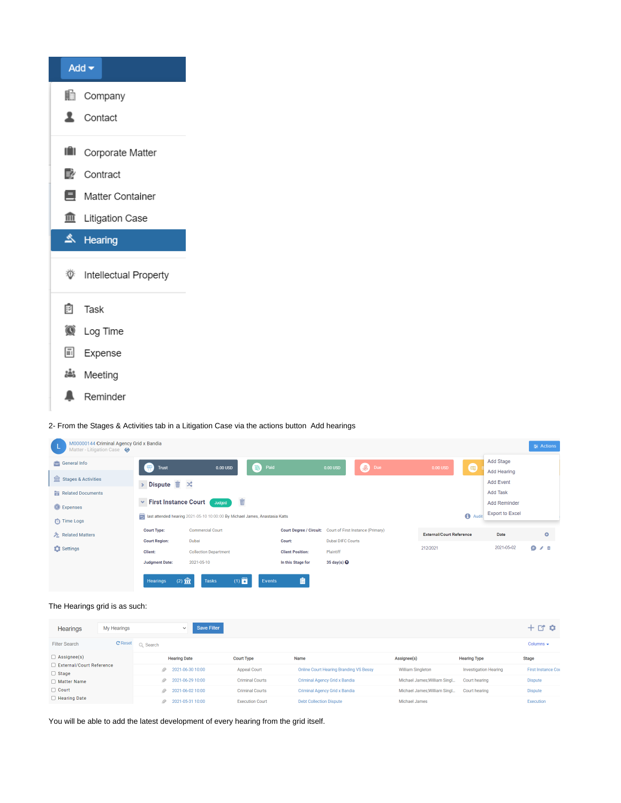| Add $\blacktriangledown$       |
|--------------------------------|
| <b>li</b> Company              |
| Contact                        |
| <b>III</b> Corporate Matter    |
| Contract                       |
| <b>■</b> Matter Container      |
| <b>11</b> Litigation Case      |
|                                |
| A Hearing                      |
| <b>W</b> Intellectual Property |
| 图 Task                         |
| C Log Time                     |
| <b>iii</b> Expense             |
| Meeting ڈھُٹا                  |

2- From the Stages & Activities tab in a Litigation Case via the actions button Add hearings

| M00000144 Criminal Agency Grid x Bandia<br>Matter - Litigation Case |                                 |                                                                             |                                   |                                                           |                          |              |                                 |                                 | $\equiv$ Actions |
|---------------------------------------------------------------------|---------------------------------|-----------------------------------------------------------------------------|-----------------------------------|-----------------------------------------------------------|--------------------------|--------------|---------------------------------|---------------------------------|------------------|
| General Info                                                        | <b>Department</b>               | 0.00 USD                                                                    | Paid                              |                                                           | 0.00 USD                 | <b>S</b> Due | $0.00$ USD                      | Add Stage<br>画                  |                  |
|                                                                     |                                 |                                                                             |                                   |                                                           |                          |              |                                 | Add Hearing                     |                  |
| Stages & Activities                                                 | > Dispute $\overline{m} \times$ |                                                                             |                                   |                                                           |                          |              |                                 | <b>Add Event</b>                |                  |
| Related Documents                                                   |                                 |                                                                             |                                   |                                                           |                          |              |                                 | Add Task                        |                  |
| C Expenses                                                          | ▼ First Instance Court          | Judged                                                                      | $\widehat{\overline{\mathbf{w}}}$ |                                                           |                          |              |                                 | <b>Add Reminder</b>             |                  |
|                                                                     |                                 | last attended hearing 2021-05-10 10:00:00 By Michael James, Anastasia Katts |                                   |                                                           |                          |              |                                 | <b>Export to Excel</b><br>Audit |                  |
| Time Logs                                                           |                                 |                                                                             |                                   |                                                           |                          |              |                                 |                                 |                  |
| Related Matters                                                     | <b>Court Type:</b>              | <b>Commercial Court</b>                                                     |                                   | Court Degree / Circuit: Court of First Instance (Primary) |                          |              | <b>External/Court Reference</b> | Date                            | $\bullet$        |
|                                                                     | <b>Court Region:</b>            | Dubai                                                                       |                                   | Court:                                                    | <b>Dubai DIFC Courts</b> |              |                                 |                                 |                  |
| Settings                                                            | Client:                         | <b>Collection Department</b>                                                |                                   | <b>Client Position:</b>                                   | Plaintiff                |              | 212/2021                        | 2021-05-02                      | 0/1              |
|                                                                     | <b>Judgment Date:</b>           | 2021-05-10                                                                  |                                   | In this Stage for                                         | 35 day(s) $\odot$        |              |                                 |                                 |                  |
|                                                                     |                                 |                                                                             |                                   |                                                           |                          |              |                                 |                                 |                  |
|                                                                     | $(2)$ 盒<br><b>Hearings</b>      | <b>Tasks</b>                                                                | $(1)$ $2^{\circ}$<br>Events       | 畠                                                         |                          |              |                                 |                                 |                  |

The Hearings grid is as such:

| Hearings                                   | My Hearings    |          | $\checkmark$          | <b>Save Filter</b> |                        |                                               |                              |                              | $+$ or $\alpha$           |
|--------------------------------------------|----------------|----------|-----------------------|--------------------|------------------------|-----------------------------------------------|------------------------------|------------------------------|---------------------------|
| <b>Filter Search</b>                       | <b>C</b> Reset | Q Search |                       |                    |                        |                                               |                              |                              | Columns $\div$            |
| $\Box$ Assignee(s)                         |                |          | <b>Hearing Date</b>   |                    | <b>Court Type</b>      | Name                                          | Assignee(s)                  | <b>Hearing Type</b>          | <b>Stage</b>              |
| □ External/Court Reference<br>$\Box$ Stage |                |          | $2021 - 06 - 3010:00$ |                    | <b>Appeal Court</b>    | <b>Online Court Hearing Branding VS Bessy</b> | <b>William Singleton</b>     | <b>Investigation Hearing</b> | <b>First Instance Cou</b> |
| □ Matter Name                              |                | D        | 2021-06-29 10:00      |                    | <b>Criminal Courts</b> | Criminal Agency Grid x Bandia                 | Michael James: William Singl | Court hearing                | <b>Dispute</b>            |
| $\Box$ Court                               |                |          | 2021-06-02 10:00      |                    | <b>Criminal Courts</b> | <b>Criminal Agency Grid x Bandia</b>          | Michael James: William Singl | Court hearing                | <b>Dispute</b>            |
| $\Box$ Hearing Date                        |                | D.       | 2021-05-31 10:00      |                    | <b>Execution Court</b> | <b>Debt Collection Dispute</b>                | Michael James                |                              | Execution                 |

You will be able to add the latest development of every hearing from the grid itself.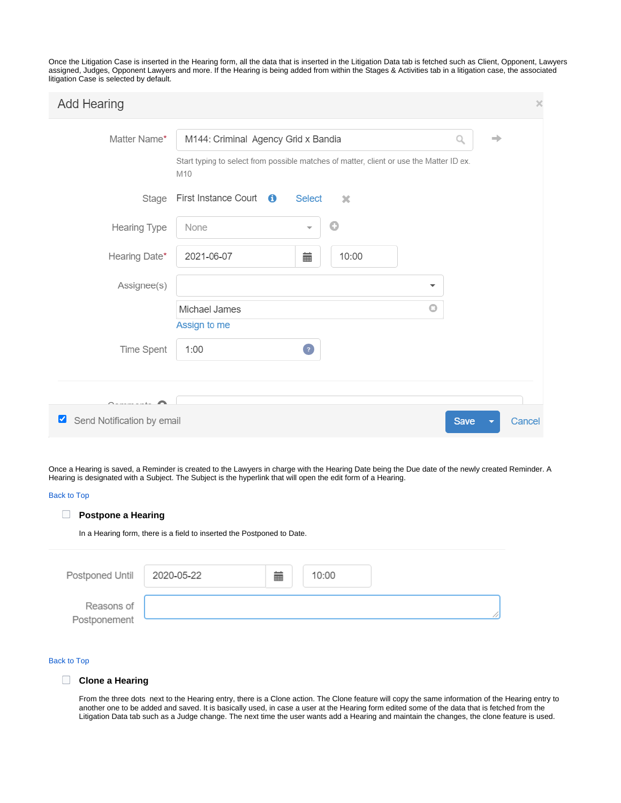Once the Litigation Case is inserted in the Hearing form, all the data that is inserted in the Litigation Data tab is fetched such as Client, Opponent, Lawyers assigned, Judges, Opponent Lawyers and more. If the Hearing is being added from within the Stages & Activities tab in a litigation case, the associated litigation Case is selected by default.

| <b>Add Hearing</b>              |                                                                                                | $\times$ |
|---------------------------------|------------------------------------------------------------------------------------------------|----------|
| Matter Name*                    | M144: Criminal Agency Grid x Bandia<br>Q<br>⇛                                                  |          |
|                                 | Start typing to select from possible matches of matter, client or use the Matter ID ex.<br>M10 |          |
| Stage                           | First Instance Court $\theta$<br><b>Select</b><br>20                                           |          |
| Hearing Type                    | O<br>None                                                                                      |          |
| Hearing Date*                   | 2021-06-07<br>藟<br>10:00                                                                       |          |
| Assignee(s)                     | ▼                                                                                              |          |
|                                 | $\bigcirc$<br>Michael James                                                                    |          |
|                                 | Assign to me                                                                                   |          |
| Time Spent                      | $\bullet$<br>1:00                                                                              |          |
|                                 |                                                                                                |          |
|                                 |                                                                                                |          |
| Send Notification by email<br>⊻ | <b>Save</b><br>Cancel                                                                          |          |

Once a Hearing is saved, a Reminder is created to the Lawyers in charge with the Hearing Date being the Due date of the newly created Reminder. A Hearing is designated with a Subject. The Subject is the hyperlink that will open the edit form of a Hearing.

## [Back to Top](https://documentation.app4legal.com/display/A4L/Manage+Hearings#main)

## **Postpone a Hearing**

In a Hearing form, there is a field to inserted the Postponed to Date.

| Postponed Until 2020-05-22 | m. | 10:00 |  |
|----------------------------|----|-------|--|
| Reasons of<br>Postponement |    |       |  |

### [Back to Top](https://documentation.app4legal.com/display/A4L/Manage+Hearings#main)

## **Clone a Hearing**

From the three dots next to the Hearing entry, there is a Clone action. The Clone feature will copy the same information of the Hearing entry to another one to be added and saved. It is basically used, in case a user at the Hearing form edited some of the data that is fetched from the Litigation Data tab such as a Judge change. The next time the user wants add a Hearing and maintain the changes, the clone feature is used.